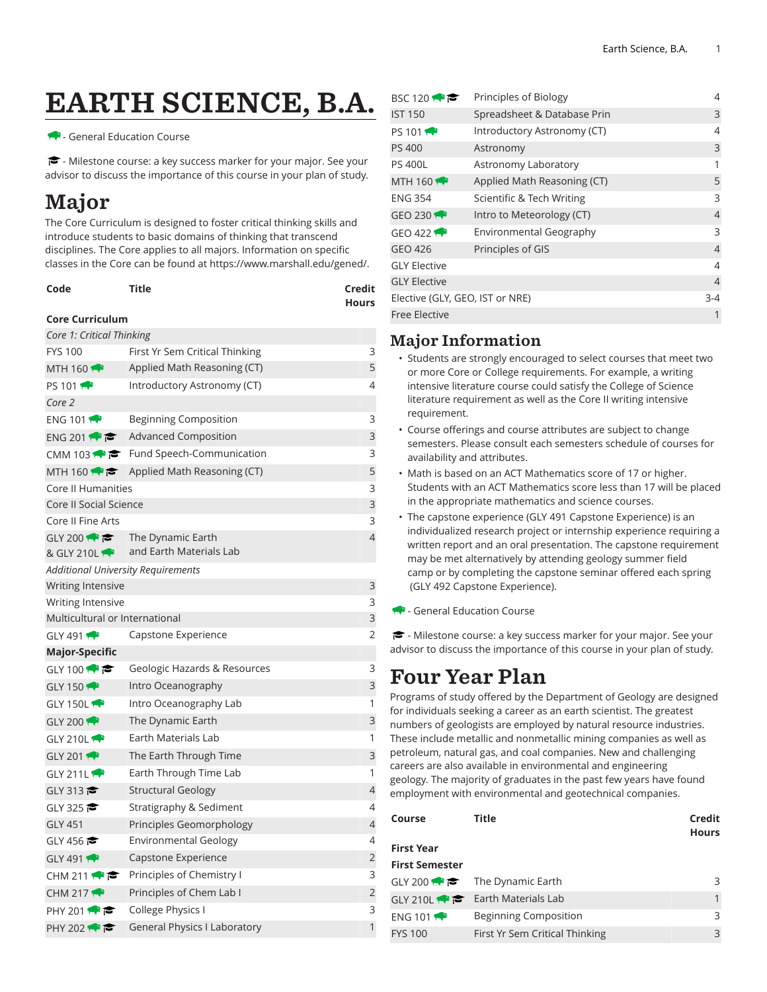# EARTH SCIENCE, B.A.

#### - General Education Course

<del>■</del> - Milestone course: a key success marker for your major. See your advisor to discuss the importance of this course in your plan of study.

## Major

The Core Curriculum is designed to foster critical thinking skills and introduce students to basic domains of thinking that transcend disciplines. The Core applies to all majors. Information on specific classes in the Core can be found at [https://www.marshall.edu/gened/.](https://www.marshall.edu/gened/)

| Code | Title | Credit       |
|------|-------|--------------|
|      |       | <b>Hours</b> |

#### **Core Curriculum**

| Core 1: Critical Thinking                 |                                                       |                |
|-------------------------------------------|-------------------------------------------------------|----------------|
| <b>FYS 100</b>                            | First Yr Sem Critical Thinking                        | 3              |
| MTH 160 $\leftrightarrow$                 | Applied Math Reasoning (CT)                           | 5              |
| PS 101                                    | Introductory Astronomy (CT)                           | 4              |
| Core 2                                    |                                                       |                |
| ENG 101 $\bullet$                         | <b>Beginning Composition</b>                          | 3              |
| ENG 201                                   | <b>Advanced Composition</b>                           | 3              |
|                                           | CMM 103 $\bullet$ $\bullet$ Fund Speech-Communication | 3              |
|                                           | MTH 160 $\bullet \bullet$ Applied Math Reasoning (CT) | 5              |
| Core II Humanities                        |                                                       | 3              |
| Core II Social Science                    |                                                       | 3              |
| Core II Fine Arts                         |                                                       | 3              |
| GLY 200                                   | The Dynamic Earth                                     | $\overline{4}$ |
| & GLY 210L                                | and Earth Materials Lab                               |                |
| <b>Additional University Requirements</b> |                                                       |                |
| Writing Intensive                         |                                                       | 3              |
| Writing Intensive                         |                                                       | 3              |
| Multicultural or International            |                                                       | 3              |
| GLY 491                                   | Capstone Experience                                   | $\overline{2}$ |
| Major-Specific                            |                                                       |                |
| GLY 100 $\bullet$ $\bullet$               | Geologic Hazards & Resources                          | 3              |
| GLY 150 $\bullet$                         | Intro Oceanography                                    | 3              |
| GLY 150L                                  | Intro Oceanography Lab                                | 1              |
| GLY 200                                   | The Dynamic Earth                                     | 3              |
| GLY 210L                                  | Earth Materials Lab                                   | 1              |
| GLY 201                                   | The Earth Through Time                                | 3              |
| GLY 211L                                  | Earth Through Time Lab                                | 1              |
| GLY 313                                   | <b>Structural Geology</b>                             | 4              |
| GLY 325                                   | Stratigraphy & Sediment                               | 4              |
| <b>GLY 451</b>                            | Principles Geomorphology                              | 4              |
| GLY 456                                   | Environmental Geology                                 | 4              |
| GLY 491                                   | Capstone Experience                                   | $\overline{2}$ |
| CHM 211 $\bullet$ $\bullet$               | Principles of Chemistry I                             | 3              |
| CHM 217 $\leftrightarrow$                 | Principles of Chem Lab I                              | $\overline{2}$ |
| PHY 201 $\bullet$                         | College Physics I                                     | 3              |
| PHY 202 ₹                                 | General Physics I Laboratory                          | 1              |
|                                           |                                                       |                |

| BSC 120 $\rightarrow \infty$    | Principles of Biology       | 4              |
|---------------------------------|-----------------------------|----------------|
| <b>IST 150</b>                  | Spreadsheet & Database Prin | 3              |
| PS 101                          | Introductory Astronomy (CT) | 4              |
| <b>PS 400</b>                   | Astronomy                   | 3              |
| <b>PS 400L</b>                  | Astronomy Laboratory        | 1              |
| MTH $160$                       | Applied Math Reasoning (CT) | 5              |
| <b>ENG 354</b>                  | Scientific & Tech Writing   | $\mathbf{3}$   |
| GEO 230 $\rightarrow$           | Intro to Meteorology (CT)   | $\overline{4}$ |
| GEO 422 $\bullet$               | Environmental Geography     | 3              |
| GEO 426                         | Principles of GIS           | $\overline{4}$ |
| <b>GLY Elective</b>             |                             | 4              |
| <b>GLY Elective</b>             |                             | $\overline{4}$ |
| Elective (GLY, GEO, IST or NRE) |                             | $3 - 4$        |
| Free Elective                   |                             | 1              |

### Major Information

- Students are strongly encouraged to select courses that meet two or more Core or College requirements. For example, a writing intensive literature course could satisfy the College of Science literature requirement as well as the Core II writing intensive requirement.
- Course offerings and course attributes are subject to change semesters. Please consult each semesters schedule of courses for availability and attributes.
- Math is based on an ACT Mathematics score of 17 or higher. Students with an ACT Mathematics score less than 17 will be placed in the appropriate mathematics and science courses.
- The capstone experience (GLY 491 Capstone Experience) is an individualized research project or internship experience requiring a written report and an oral presentation. The capstone requirement may be met alternatively by attending geology summer field camp or by completing the capstone seminar offered each spring (GLY 492 Capstone Experience).
- General Education Course

 $\blacktriangleright$  - Milestone course: a key success marker for your major. See your advisor to discuss the importance of this course in your plan of study.

### Four Year Plan

Programs of study offered by the Department of Geology are designed for individuals seeking a career as an earth scientist. The greatest numbers of geologists are employed by natural resource industries. These include metallic and nonmetallic mining companies as well as petroleum, natural gas, and coal companies. New and challenging careers are also available in environmental and engineering geology. The majority of graduates in the past few years have found employment with environmental and geotechnical companies.

| Course                | Title                                          | Credit<br><b>Hours</b> |
|-----------------------|------------------------------------------------|------------------------|
| <b>First Year</b>     |                                                |                        |
| <b>First Semester</b> |                                                |                        |
|                       | GLY 200 $\bullet \bullet$ The Dynamic Earth    | 3                      |
|                       | GLY 210L $\bullet \bullet$ Earth Materials Lab |                        |
| ENG 101               | <b>Beginning Composition</b>                   | 3                      |
| <b>FYS 100</b>        | First Yr Sem Critical Thinking                 | 3                      |